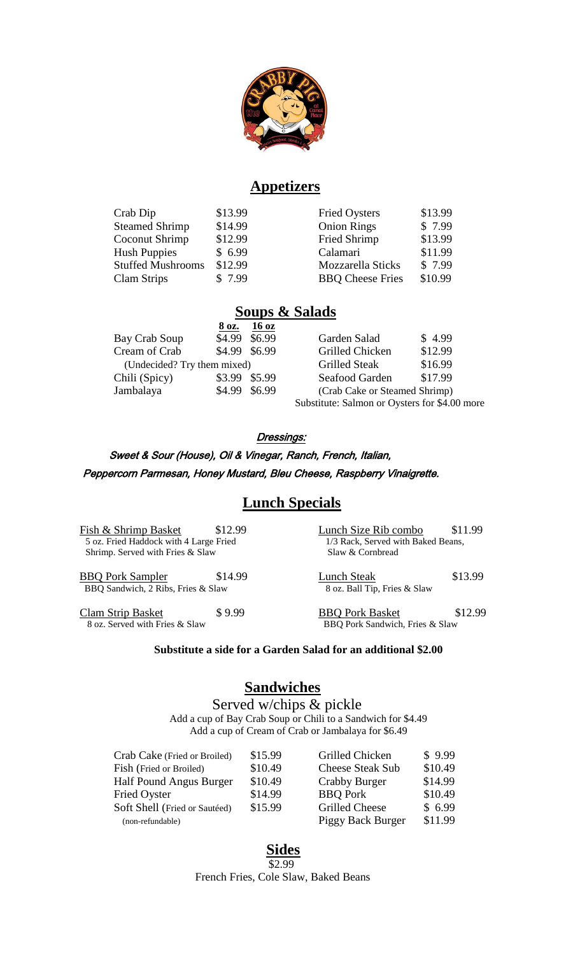

## **Appetizers**

| Crab Dip                 | \$13.99 | <b>Fried Oysters</b>    | \$13.99 |
|--------------------------|---------|-------------------------|---------|
| <b>Steamed Shrimp</b>    | \$14.99 | <b>Onion Rings</b>      | \$7.99  |
| Coconut Shrimp           | \$12.99 | Fried Shrimp            | \$13.99 |
| <b>Hush Puppies</b>      | \$6.99  | Calamari                | \$11.99 |
| <b>Stuffed Mushrooms</b> | \$12.99 | Mozzarella Sticks       | \$7.99  |
| Clam Strips              | \$7.99  | <b>BBQ</b> Cheese Fries | \$10.99 |

# **Soups & Salads**

|                             | 8 oz.         | 16 <sub>oz</sub> |                                               |         |
|-----------------------------|---------------|------------------|-----------------------------------------------|---------|
| Bay Crab Soup               | \$4.99 \$6.99 |                  | Garden Salad                                  | \$4.99  |
| Cream of Crab               | \$4.99 \$6.99 |                  | Grilled Chicken                               | \$12.99 |
| (Undecided? Try them mixed) |               |                  | <b>Grilled Steak</b>                          | \$16.99 |
| Chili (Spicy)               | \$3.99 \$5.99 |                  | Seafood Garden                                | \$17.99 |
| Jambalaya                   | \$4.99 \$6.99 |                  | (Crab Cake or Steamed Shrimp)                 |         |
|                             |               |                  | Substitute: Salmon or Oysters for \$4.00 more |         |

#### Dressings:

 Sweet & Sour (House), Oil & Vinegar, Ranch, French, Italian, Peppercorn Parmesan, Honey Mustard, Bleu Cheese, Raspberry Vinaigrette.

# **Lunch Specials**

Fish & Shrimp Basket \$12.99<br>5 oz. Fried Haddock with 4 Large Fried 1/3 Rack, Served with Baked Beans, 5 oz. Fried Haddock with 4 Large Fried 1/3 Rack, Served with Shrimp. Served with Fries & Slaw 8 Cornbread Shrimp. Served with Fries  $&$  Slaw

BBQ Pork Sampler \$14.99 Lunch Steak \$13.99 BBQ Sandwich, 2 Ribs, Fries & Slaw 8 oz. Ball Tip, Fries & Slaw

Clam Strip Basket \$ 9.99<br>8 oz. Served with Fries & Slaw BBQ Pork Basket \$12.99<br>BBQ Pork Sandwich, Fries & Slaw

BBQ Pork Sandwich, Fries & Slaw

#### **Substitute a side for a Garden Salad for an additional \$2.00**

## **Sandwiches**

 Served w/chips & pickle Add a cup of Bay Crab Soup or Chili to a Sandwich for \$4.49 Add a cup of Cream of Crab or Jambalaya for \$6.49

| Crab Cake (Fried or Broiled)  | \$15.99 | Grilled Chicken         | \$9.99  |
|-------------------------------|---------|-------------------------|---------|
| Fish (Fried or Broiled)       | \$10.49 | <b>Cheese Steak Sub</b> | \$10.49 |
| Half Pound Angus Burger       | \$10.49 | Crabby Burger           | \$14.99 |
| <b>Fried Oyster</b>           | \$14.99 | <b>BBQ</b> Pork         | \$10.49 |
| Soft Shell (Fried or Sautéed) | \$15.99 | Grilled Cheese          | \$6.99  |
| (non-refundable)              |         | Piggy Back Burger       | \$11.99 |

#### **Sides** \$2.99

French Fries, Cole Slaw, Baked Beans